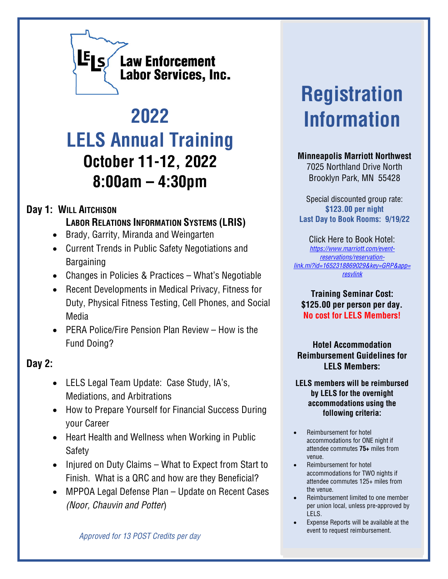

## **2022 LELS Annual Training October 11-12, 2022 8:00am – 4:30pm**

## **Day 1: WILL AITCHISON**

**LABOR RELATIONS INFORMATION SYSTEMS (LRIS)**

- Brady, Garrity, Miranda and Weingarten
- Current Trends in Public Safety Negotiations and Bargaining
- Changes in Policies & Practices What's Negotiable
- Recent Developments in Medical Privacy, Fitness for Duty, Physical Fitness Testing, Cell Phones, and Social Media
- PERA Police/Fire Pension Plan Review How is the Fund Doing?

## **Day 2:**

- LELS Legal Team Update: Case Study, IA's, Mediations, and Arbitrations
- How to Prepare Yourself for Financial Success During your Career
- Heart Health and Wellness when Working in Public Safety
- Injured on Duty Claims What to Expect from Start to Finish. What is a QRC and how are they Beneficial?
- MPPOA Legal Defense Plan Update on Recent Cases *(Noor, Chauvin and Potter*)

## **Registration Information**

**Minneapolis Marriott Northwest** 7025 Northland Drive North Brooklyn Park, MN 55428

Special discounted group rate: **\$123.00 per night Last Day to Book Rooms: 9/19/22**

Click Here to Book Hotel: *[https://www.marriott.com/event](https://www.marriott.com/event-reservations/reservation-link.mi?id=1652318869029&key=GRP&app=resvlink)[reservations/reservation](https://www.marriott.com/event-reservations/reservation-link.mi?id=1652318869029&key=GRP&app=resvlink)[link.mi?id=1652318869029&key=GRP&app=](https://www.marriott.com/event-reservations/reservation-link.mi?id=1652318869029&key=GRP&app=resvlink) [resvlink](https://www.marriott.com/event-reservations/reservation-link.mi?id=1652318869029&key=GRP&app=resvlink)*

**Training Seminar Cost: \$125.00 per person per day. No cost for LELS Members!**

**Hotel Accommodation Reimbursement Guidelines for LELS Members:**

**LELS members will be reimbursed by LELS for the overnight accommodations using the following criteria:**

- Reimbursement for hotel accommodations for ONE night if attendee commutes **75+** miles from venue.
- Reimbursement for hotel accommodations for TWO nights if attendee commutes 125+ miles from the venue.
- Reimbursement limited to one member per union local, unless pre-approved by LELS.
- Expense Reports will be available at the event to request reimbursement.

*Approved for 13 POST Credits per day*